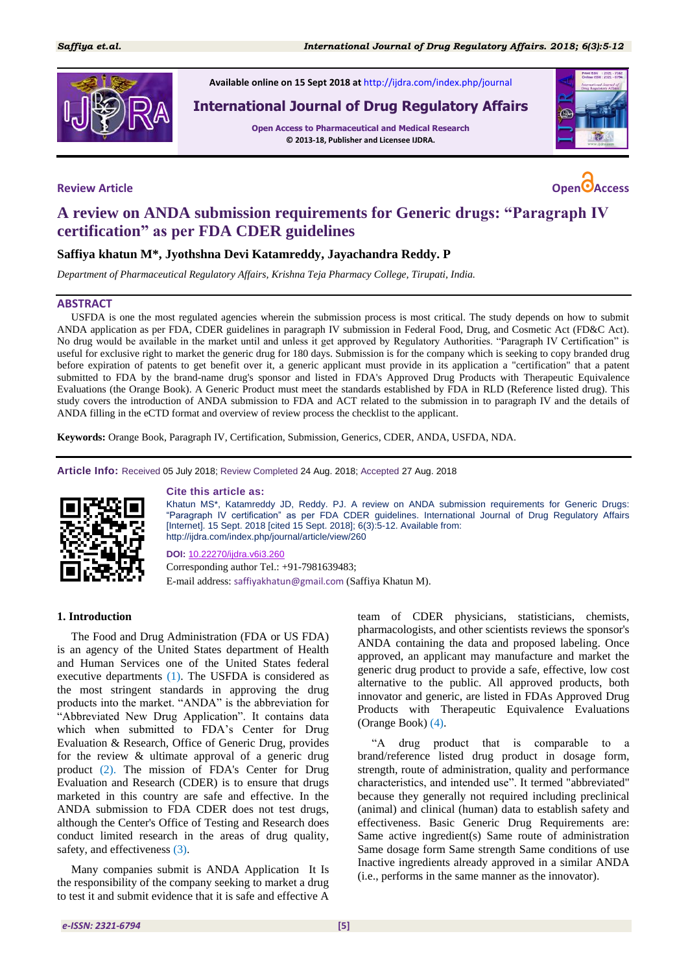

**Available online on 15 Sept 2018 at** <http://ijdra.com/index.php/journal>

# **International Journal of Drug Regulatory Affairs**

**Open Access to Pharmaceutical and Medical Research © 2013-18, Publisher and Licensee IJDRA.**



**Review Article Open Access**

# **A review on ANDA submission requirements for Generic drugs: "Paragraph IV certification" as per FDA CDER guidelines**

# **Saffiya khatun M\*, Jyothshna Devi Katamreddy, Jayachandra Reddy. P**

*Department of Pharmaceutical Regulatory Affairs, Krishna Teja Pharmacy College, Tirupati, India.*

#### **ABSTRACT**

USFDA is one the most regulated agencies wherein the submission process is most critical. The study depends on how to submit ANDA application as per FDA, CDER guidelines in paragraph IV submission in Federal Food, Drug, and Cosmetic Act (FD&C Act). No drug would be available in the market until and unless it get approved by Regulatory Authorities. "Paragraph IV Certification" is useful for exclusive right to market the generic drug for 180 days. Submission is for the company which is seeking to copy branded drug before expiration of patents to get benefit over it, a generic applicant must provide in its application a "certification" that a patent submitted to FDA by the brand-name drug's sponsor and listed in FDA's Approved Drug Products with Therapeutic Equivalence Evaluations (the Orange Book). A Generic Product must meet the standards established by FDA in RLD (Reference listed drug). This study covers the introduction of ANDA submission to FDA and ACT related to the submission in to paragraph IV and the details of ANDA filling in the eCTD format and overview of review process the checklist to the applicant.

**Keywords:** Orange Book, Paragraph IV, Certification, Submission, Generics, CDER, ANDA, USFDA, NDA.

**Article Info:** Received 05 July 2018; Review Completed 24 Aug. 2018; Accepted 27 Aug. 2018



#### **Cite this article as:**

Khatun MS\*, Katamreddy JD, Reddy. PJ. A review on ANDA submission requirements for Generic Drugs: "Paragraph IV certification" as per FDA CDER guidelines. International Journal of Drug Regulatory Affairs [Internet]. 15 Sept. 2018 [cited 15 Sept. 2018]; 6(3):5-12. Available from: http://ijdra.com/index.php/journal/article/view/260

**DOI:** [10.22270/ijdra.v6i3.260](http://doi.org/10.22270/ijdra.v6i3.260)

Corresponding author Tel.: +91-7981639483; E-mail address: saffiyakhatun@gmail.com (Saffiya Khatun M).

#### **1. Introduction**

The Food and Drug Administration (FDA or US FDA) is an agency of the United States department of Health and Human Services one of the United States federal executive departments [\(1\)](#page-6-0). The USFDA is considered as the most stringent standards in approving the drug products into the market. "ANDA" is the abbreviation for "Abbreviated New Drug Application". It contains data which when submitted to FDA's Center for Drug Evaluation & Research, Office of Generic Drug, provides for the review & ultimate approval of a generic drug product [\(2\)](#page-6-1). The mission of FDA's Center for Drug Evaluation and Research (CDER) is to ensure that drugs marketed in this country are safe and effective. In the ANDA submission to FDA CDER does not test drugs, although the Center's Office of Testing and Research does conduct limited research in the areas of drug quality, safety, and effectiveness [\(3\)](#page-6-2).

Many companies submit is ANDA Application It Is the responsibility of the company seeking to market a drug to test it and submit evidence that it is safe and effective A

team of CDER physicians, statisticians, chemists, pharmacologists, and other scientists reviews the sponsor's ANDA containing the data and proposed labeling. Once approved, an applicant may manufacture and market the generic drug product to provide a safe, effective, low cost alternative to the public. All approved products, both innovator and generic, are listed in FDAs Approved Drug Products with Therapeutic Equivalence Evaluations (Orange Book) [\(4\)](#page-6-3).

"A drug product that is comparable to a brand/reference listed drug product in dosage form, strength, route of administration, quality and performance characteristics, and intended use". It termed "abbreviated" because they generally not required including preclinical (animal) and clinical (human) data to establish safety and effectiveness. Basic Generic Drug Requirements are: Same active ingredient(s) Same route of administration Same dosage form Same strength Same conditions of use Inactive ingredients already approved in a similar ANDA (i.e., performs in the same manner as the innovator).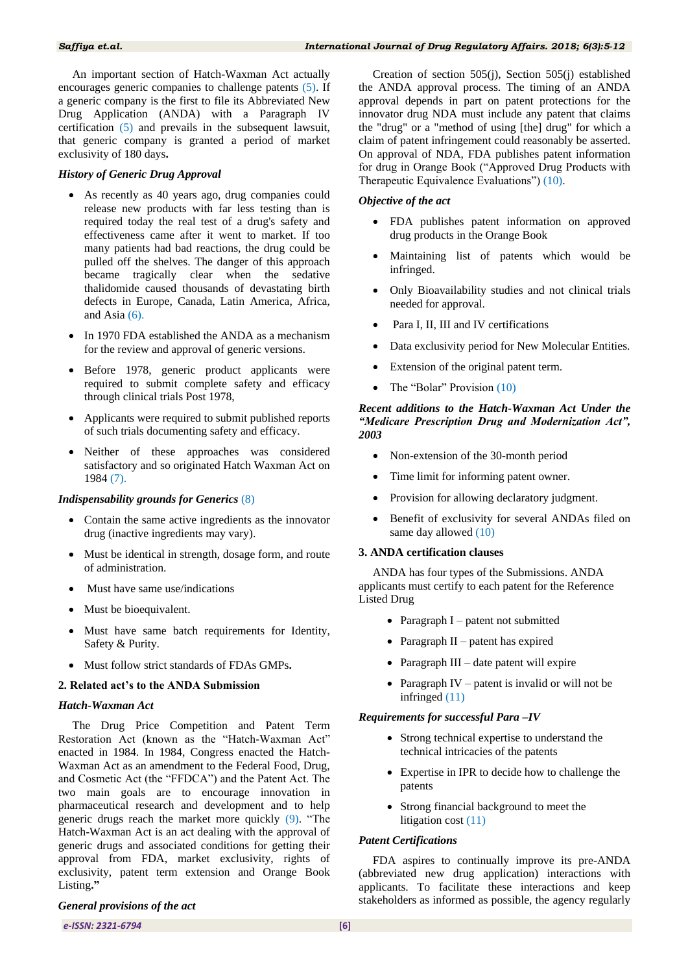An important section of Hatch-Waxman Act actually encourages generic companies to challenge patents [\(5\)](#page-6-4). If a generic company is the first to file its Abbreviated New Drug Application (ANDA) with a Paragraph IV certification [\(5\)](#page-6-4) and prevails in the subsequent lawsuit, that generic company is granted a period of market exclusivity of 180 days**.**

#### *History of Generic Drug Approval*

- As recently as 40 years ago, drug companies could release new products with far less testing than is required today the real test of a drug's safety and effectiveness came after it went to market. If too many patients had bad reactions, the drug could be pulled off the shelves. The danger of this approach became tragically clear when the sedative thalidomide caused thousands of devastating birth defects in Europe, Canada, Latin America, Africa, and Asia [\(6\)](#page-6-5).
- In 1970 FDA established the ANDA as a mechanism for the review and approval of generic versions.
- Before 1978, generic product applicants were required to submit complete safety and efficacy through clinical trials Post 1978,
- Applicants were required to submit published reports of such trials documenting safety and efficacy.
- Neither of these approaches was considered satisfactory and so originated Hatch Waxman Act on 1984 [\(7\)](#page-7-0).

#### *Indispensability grounds for Generics* [\(8\)](#page-7-1)

- Contain the same active ingredients as the innovator drug (inactive ingredients may vary).
- Must be identical in strength, dosage form, and route of administration.
- Must have same use/indications
- Must be bioequivalent.
- Must have same batch requirements for Identity, Safety & Purity.
- Must follow strict standards of FDAs GMPs**.**

#### **2. Related act's to the ANDA Submission**

#### *Hatch-Waxman Act*

The Drug Price Competition and Patent Term Restoration Act (known as the "Hatch-Waxman Act" enacted in 1984. In 1984, Congress enacted the Hatch-Waxman Act as an amendment to the Federal Food, Drug, and Cosmetic Act (the "FFDCA") and the Patent Act. The two main goals are to encourage innovation in pharmaceutical research and development and to help generic drugs reach the market more quickly [\(9\)](#page-7-2). "The Hatch-Waxman Act is an act dealing with the approval of generic drugs and associated conditions for getting their approval from FDA, market exclusivity, rights of exclusivity, patent term extension and Orange Book Listing**."**

#### *General provisions of the act*

Creation of section 505(j), Section 505(j) established the ANDA approval process. The timing of an ANDA approval depends in part on patent protections for the innovator drug NDA must include any patent that claims the "drug" or a "method of using [the] drug" for which a claim of patent infringement could reasonably be asserted. On approval of NDA, FDA publishes patent information for drug in Orange Book ("Approved Drug Products with Therapeutic Equivalence Evaluations") [\(10\)](#page-7-3).

#### *Objective of the act*

- FDA publishes patent information on approved drug products in the Orange Book
- Maintaining list of patents which would be infringed.
- Only Bioavailability studies and not clinical trials needed for approval.
- Para I, II, III and IV certifications
- Data exclusivity period for New Molecular Entities.
- Extension of the original patent term.
- The "Bolar" Provision [\(10\)](#page-7-3)

#### *Recent additions to the Hatch-Waxman Act Under the "Medicare Prescription Drug and Modernization Act", 2003*

- Non-extension of the 30-month period
- Time limit for informing patent owner.
- Provision for allowing declaratory judgment.
- Benefit of exclusivity for several ANDAs filed on same day allowed [\(10\)](#page-7-3)

#### **3. ANDA certification clauses**

ANDA has four types of the Submissions. ANDA applicants must certify to each patent for the Reference Listed Drug

- Paragraph  $I$  patent not submitted
- Paragraph  $II$  patent has expired
- Paragraph  $III$  date patent will expire
- Paragraph IV patent is invalid or will not be infringed [\(11\)](#page-7-4)

## *Requirements for successful Para –IV*

- Strong technical expertise to understand the technical intricacies of the patents
- Expertise in IPR to decide how to challenge the patents
- Strong financial background to meet the litigation cost [\(11\)](#page-7-4)

#### *Patent Certifications*

FDA aspires to continually improve its pre-ANDA (abbreviated new drug application) interactions with applicants. To facilitate these interactions and keep stakeholders as informed as possible, the agency regularly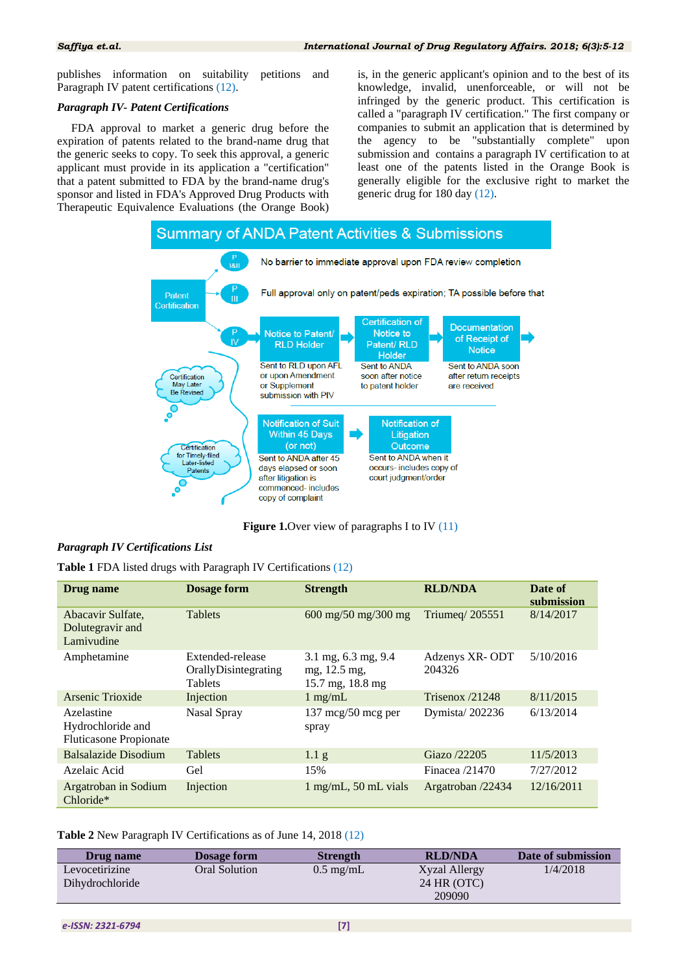publishes information on suitability petitions and Paragraph IV patent certifications [\(12\)](#page-7-5).

#### *Paragraph IV- Patent Certifications*

FDA approval to market a generic drug before the expiration of patents related to the brand-name drug that the generic seeks to copy. To seek this approval, a generic applicant must provide in its application a "certification" that a patent submitted to FDA by the brand-name drug's sponsor and listed in FDA's Approved Drug Products with Therapeutic Equivalence Evaluations (the Orange Book)

is, in the generic applicant's opinion and to the best of its knowledge, invalid, unenforceable, or will not be infringed by the generic product. This certification is called a "paragraph IV certification." The first company or companies to submit an application that is determined by the agency to be "substantially complete" upon submission and contains a paragraph IV certification to at least one of the patents listed in the Orange Book is generally eligible for the exclusive right to market the generic drug for 180 day [\(12\)](#page-7-5).



**Figure 1.**Over view of paragraphs I to IV [\(11\)](#page-7-4)

#### *Paragraph IV Certifications List*

**Table 1** FDA listed drugs with Paragraph IV Certifications [\(12\)](#page-7-5)

| Drug name                                                        | Dosage form                                                | <b>Strength</b>                                         | <b>RLD/NDA</b>           | Date of<br>submission |
|------------------------------------------------------------------|------------------------------------------------------------|---------------------------------------------------------|--------------------------|-----------------------|
| Abacavir Sulfate,<br>Dolutegravir and<br>Lamivudine              | <b>Tablets</b>                                             | $600 \text{ mg}/50 \text{ mg}/300 \text{ mg}$           | Triumeg/ 205551          | 8/14/2017             |
| Amphetamine                                                      | Extended-release<br>OrallyDisintegrating<br><b>Tablets</b> | 3.1 mg, 6.3 mg, 9.4<br>mg, 12.5 mg,<br>15.7 mg, 18.8 mg | Adzenys XR-ODT<br>204326 | 5/10/2016             |
| Arsenic Trioxide                                                 | Injection                                                  | $1 \text{ mg/mL}$                                       | Trisenox $/21248$        | 8/11/2015             |
| Azelastine<br>Hydrochloride and<br><b>Fluticasone Propionate</b> | Nasal Spray                                                | $137 \text{~mcg}/50 \text{~mcg}$ per<br>spray           | Dymista/202236           | 6/13/2014             |
| Balsalazide Disodium                                             | <b>Tablets</b>                                             | 1.1 <sub>g</sub>                                        | Giazo /22205             | 11/5/2013             |
| Azelaic Acid                                                     | Gel                                                        | 15%                                                     | Finacea $/21470$         | 7/27/2012             |
| Argatroban in Sodium<br>Chloride*                                | Injection                                                  | $1$ mg/mL, 50 mL vials                                  | Argatroban /22434        | 12/16/2011            |

**Table 2** New Paragraph IV Certifications as of June 14, 2018 [\(12\)](#page-7-5)

| Drug name                         | <b>Dosage form</b> | <b>Strength</b>     | <b>RLD/NDA</b>               | Date of submission |
|-----------------------------------|--------------------|---------------------|------------------------------|--------------------|
| Levocetirizine<br>Dihydrochloride | Oral Solution      | $0.5 \text{ mg/mL}$ | Xyzal Allergy<br>24 HR (OTC) | 1/4/2018           |
|                                   |                    |                     | 209090                       |                    |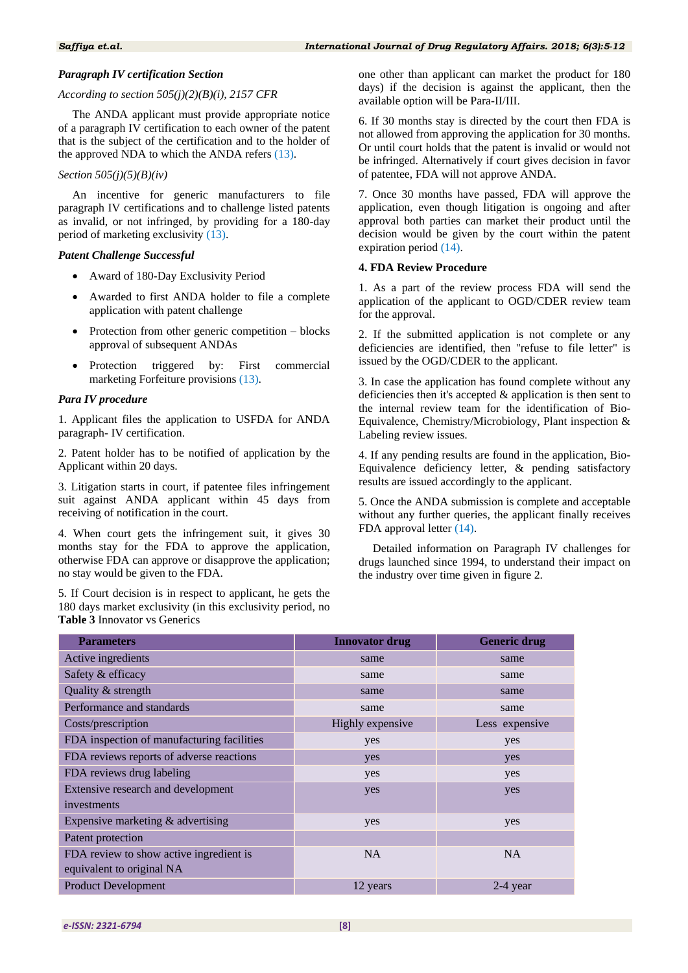#### *Paragraph IV certification Section*

#### *According to section 505(j)(2)(B)(i), 2157 CFR*

The ANDA applicant must provide appropriate notice of a paragraph IV certification to each owner of the patent that is the subject of the certification and to the holder of the approved NDA to which the ANDA refers [\(13\)](#page-7-6).

#### *Section 505(j)(5)(B)(iv)*

An incentive for generic manufacturers to file paragraph IV certifications and to challenge listed patents as invalid, or not infringed, by providing for a 180-day period of marketing exclusivity [\(13\)](#page-7-6).

#### *Patent Challenge Successful*

- Award of 180-Day Exclusivity Period
- Awarded to first ANDA holder to file a complete application with patent challenge
- Protection from other generic competition blocks approval of subsequent ANDAs
- Protection triggered by: First commercial marketing Forfeiture provisions [\(13\)](#page-7-6).

#### *Para IV procedure*

1. Applicant files the application to USFDA for ANDA paragraph- IV certification.

2. Patent holder has to be notified of application by the Applicant within 20 days.

3. Litigation starts in court, if patentee files infringement suit against ANDA applicant within 45 days from receiving of notification in the court.

4. When court gets the infringement suit, it gives 30 months stay for the FDA to approve the application, otherwise FDA can approve or disapprove the application; no stay would be given to the FDA.

5. If Court decision is in respect to applicant, he gets the 180 days market exclusivity (in this exclusivity period, no **Table 3** Innovator vs Generics

one other than applicant can market the product for 180 days) if the decision is against the applicant, then the available option will be Para-II/III.

6. If 30 months stay is directed by the court then FDA is not allowed from approving the application for 30 months. Or until court holds that the patent is invalid or would not be infringed. Alternatively if court gives decision in favor of patentee, FDA will not approve ANDA.

7. Once 30 months have passed, FDA will approve the application, even though litigation is ongoing and after approval both parties can market their product until the decision would be given by the court within the patent expiration period [\(14\)](#page-7-7).

#### **4. FDA Review Procedure**

1. As a part of the review process FDA will send the application of the applicant to OGD/CDER review team for the approval.

2. If the submitted application is not complete or any deficiencies are identified, then "refuse to file letter" is issued by the OGD/CDER to the applicant.

3. In case the application has found complete without any deficiencies then it's accepted & application is then sent to the internal review team for the identification of Bio-Equivalence, Chemistry/Microbiology, Plant inspection & Labeling review issues.

4. If any pending results are found in the application, Bio-Equivalence deficiency letter, & pending satisfactory results are issued accordingly to the applicant.

5. Once the ANDA submission is complete and acceptable without any further queries, the applicant finally receives FDA approval letter [\(14\)](#page-7-7).

Detailed information on Paragraph IV challenges for drugs launched since 1994, to understand their impact on the industry over time given in figure 2.

| <b>Parameters</b>                          | <b>Innovator drug</b> | <b>Generic drug</b> |  |
|--------------------------------------------|-----------------------|---------------------|--|
| Active ingredients                         | same                  | same                |  |
| Safety & efficacy                          | same                  | same                |  |
| Quality & strength                         | same                  | same                |  |
| Performance and standards                  | same                  | same                |  |
| Costs/prescription                         | Highly expensive      | Less expensive      |  |
| FDA inspection of manufacturing facilities | yes                   | yes                 |  |
| FDA reviews reports of adverse reactions   | yes                   | yes                 |  |
| FDA reviews drug labeling                  | yes                   | yes                 |  |
| Extensive research and development         | yes                   | yes                 |  |
| investments                                |                       |                     |  |
| Expensive marketing & advertising          | yes                   | yes                 |  |
| Patent protection                          |                       |                     |  |
| FDA review to show active ingredient is    | N <sub>A</sub>        | N <sub>A</sub>      |  |
| equivalent to original NA                  |                       |                     |  |
| <b>Product Development</b>                 | 12 years              | $2-4$ year          |  |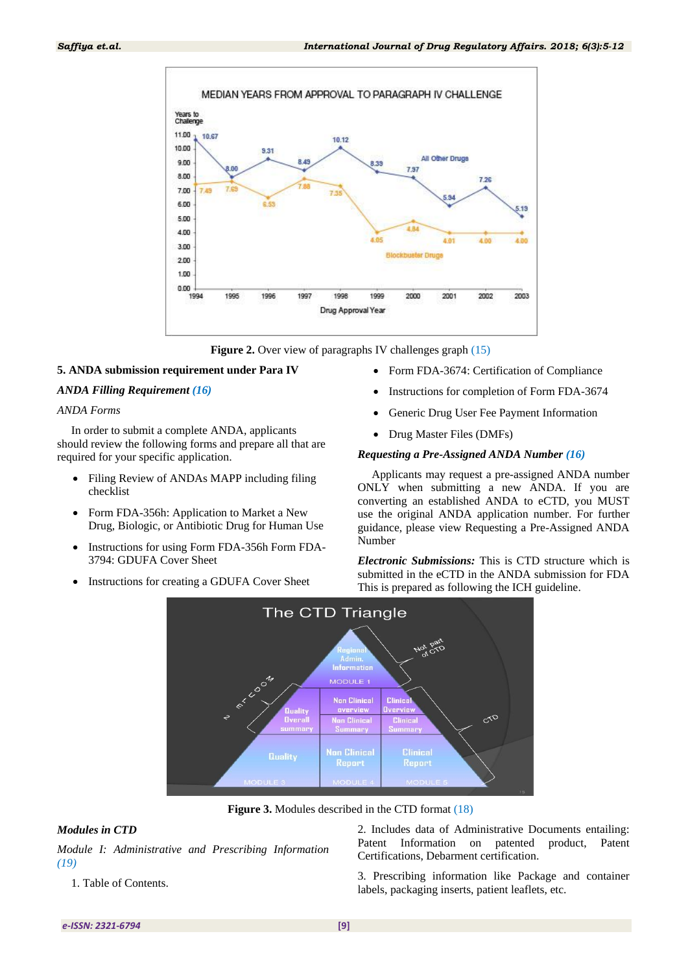

**Figure 2.** Over view of paragraphs IV challenges graph [\(15\)](#page-7-8)

#### **5. ANDA submission requirement under Para IV**

#### *ANDA Filling Requirement [\(16\)](#page-7-9)*

#### *ANDA Forms*

In order to submit a complete ANDA, applicants should review the following forms and prepare all that are required for your specific application.

- Filing Review of ANDAs MAPP including filing checklist
- Form FDA-356h: Application to Market a New Drug, Biologic, or Antibiotic Drug for Human Use
- Instructions for using Form FDA-356h Form FDA-3794: GDUFA Cover Sheet
- Instructions for creating a GDUFA Cover Sheet
- Form FDA-3674: Certification of Compliance
- Instructions for completion of Form FDA-3674
- Generic Drug User Fee Payment Information
- Drug Master Files (DMFs)

#### *Requesting a Pre-Assigned ANDA Number [\(16\)](#page-7-9)*

Applicants may request a pre-assigned ANDA number ONLY when submitting a new ANDA. If you are converting an established ANDA to eCTD, you MUST use the original ANDA application number. For further guidance, please view Requesting a Pre-Assigned ANDA Number

*Electronic Submissions:* This is CTD structure which is submitted in the eCTD in the ANDA submission for FDA This is prepared as following the ICH guideline.



**Figure 3.** Modules described in the CTD format [\(18\)](#page-7-10)

### *Modules in CTD*

*Module I: Administrative and Prescribing Information [\(19\)](#page-7-11)*

1. Table of Contents.

2. Includes data of Administrative Documents entailing: Patent Information on patented product, Patent Certifications, Debarment certification.

3. Prescribing information like Package and container labels, packaging inserts, patient leaflets, etc.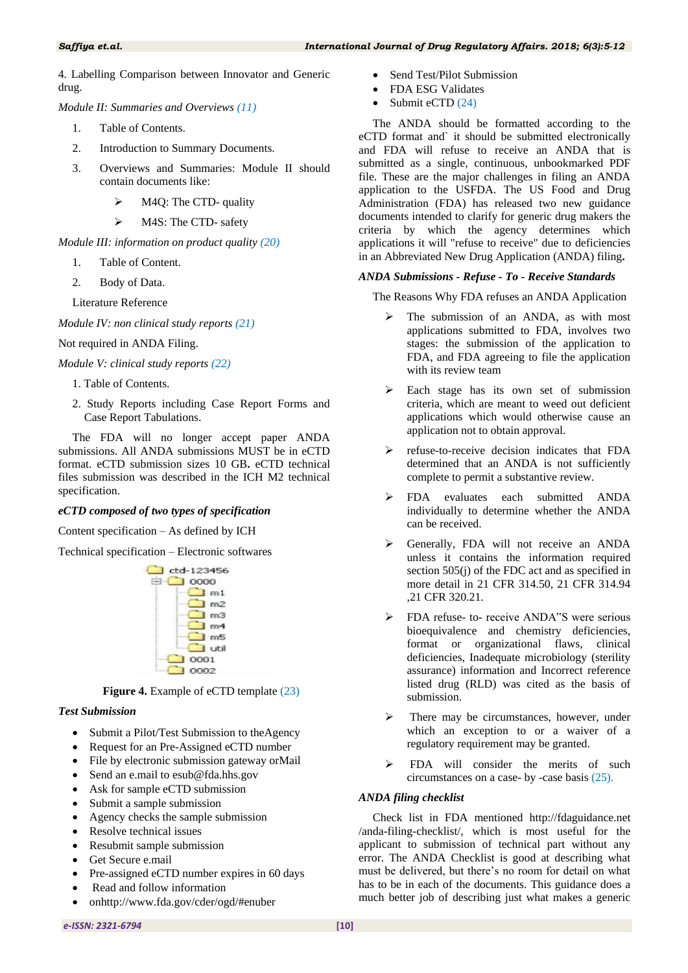4. Labelling Comparison between Innovator and Generic drug.

*Module II: Summaries and Overviews [\(11\)](#page-5-0)*

- <span id="page-5-0"></span>1. Table of Contents.
- 2. Introduction to Summary Documents.
- 3. Overviews and Summaries: Module II should contain documents like:
	- M4Q: The CTD- quality
	- > M4S: The CTD- safety

*Module III: information on product quality [\(20\)](#page-7-12)*

- 1. Table of Content.
- 2. Body of Data.

Literature Reference

*Module IV: non clinical study reports [\(21\)](#page-7-13)*

Not required in ANDA Filing.

*Module V: clinical study reports [\(22\)](#page-7-14)*

- 1. Table of Contents.
- 2. Study Reports including Case Report Forms and Case Report Tabulations.

The FDA will no longer accept paper ANDA submissions. All ANDA submissions MUST be in eCTD format. eCTD submission sizes 10 GB**.** eCTD technical files submission was described in the ICH M2 technical specification.

#### *eCTD composed of two types of specification*

Content specification – As defined by ICH

Technical specification – Electronic softwares



**Figure 4.** Example of eCTD template [\(23\)](#page-7-15)

#### *Test Submission*

- Submit a Pilot/Test Submission to theAgency
- Request for an Pre-Assigned eCTD number
- File by electronic submission gateway orMail
- Send an e.mail to esub@fda.hhs.gov
- Ask for sample eCTD submission
- Submit a sample submission
- Agency checks the sample submission
- Resolve technical issues
- Resubmit sample submission
- Get Secure e.mail
- Pre-assigned eCTD number expires in 60 days
- Read and follow information
	- onhttp://www.fda.gov/cder/ogd/#enuber
- Send Test/Pilot Submission
- FDA ESG Validates
- Submit eCTD [\(24\)](#page-7-16)

The ANDA should be formatted according to the eCTD format and` it should be submitted electronically and FDA will refuse to receive an ANDA that is submitted as a single, continuous, unbookmarked PDF file. These are the major challenges in filing an ANDA application to the USFDA. The US Food and Drug Administration (FDA) has released two new guidance documents intended to clarify for generic drug makers the criteria by which the agency determines which applications it will "refuse to receive" due to deficiencies in an Abbreviated New Drug Application (ANDA) filing**.**

#### *ANDA Submissions - Refuse - To - Receive Standards*

The Reasons Why FDA refuses an ANDA Application

- $\triangleright$  The submission of an ANDA, as with most applications submitted to FDA, involves two stages: the submission of the application to FDA, and FDA agreeing to file the application with its review team
- $\triangleright$  Each stage has its own set of submission criteria, which are meant to weed out deficient applications which would otherwise cause an application not to obtain approval.
- $\triangleright$  refuse-to-receive decision indicates that FDA determined that an ANDA is not sufficiently complete to permit a substantive review.
- > FDA evaluates each submitted ANDA individually to determine whether the ANDA can be received.
- Generally, FDA will not receive an ANDA unless it contains the information required section 505(j) of the FDC act and as specified in more detail in 21 CFR 314.50, 21 CFR 314.94 ,21 CFR 320.21.
- > FDA refuse- to- receive ANDA"S were serious bioequivalence and chemistry deficiencies, format or organizational flaws, clinical deficiencies, Inadequate microbiology (sterility assurance) information and Incorrect reference listed drug (RLD) was cited as the basis of submission.
- There may be circumstances, however, under which an exception to or a waiver of a regulatory requirement may be granted.
- > FDA will consider the merits of such circumstances on a case- by -case basis [\(25\)](#page-7-17).

#### *ANDA filing checklist*

Check list in FDA mentioned http://fdaguidance.net /anda-filing-checklist/, which is most useful for the applicant to submission of technical part without any error. The ANDA Checklist is good at describing what must be delivered, but there's no room for detail on what has to be in each of the documents. This guidance does a much better job of describing just what makes a generic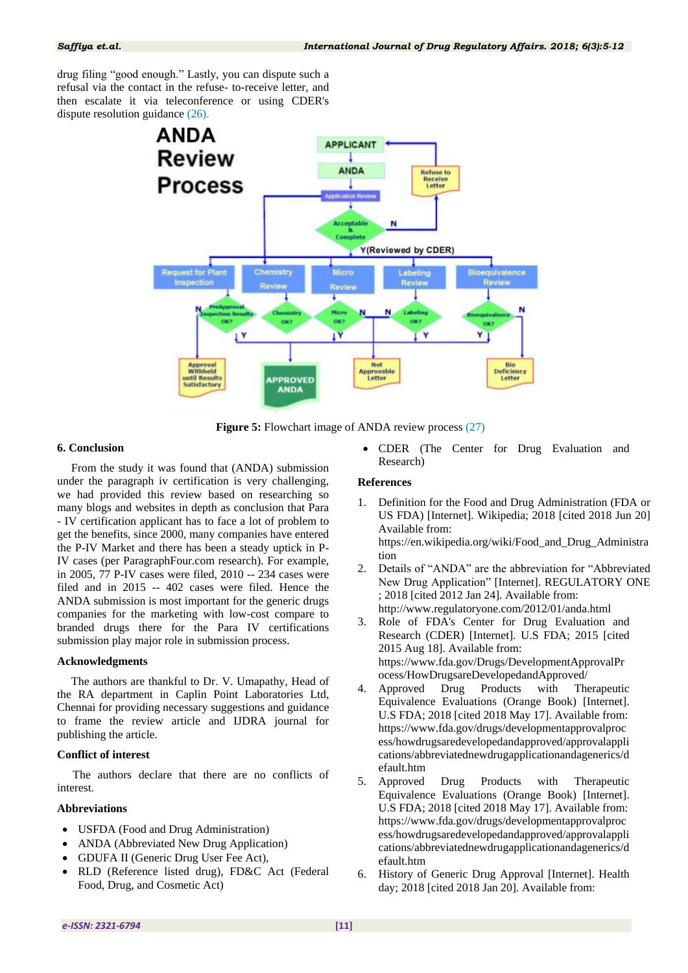drug filing "good enough." Lastly, you can dispute such a refusal via the contact in the refuse- to-receive letter, and then escalate it via teleconference or using CDER's dispute resolution guidance [\(26\)](#page-7-18).



**Figure 5:** Flowchart image of ANDA review process [\(27\)](#page-7-19)

#### **6. Conclusion**

From the study it was found that (ANDA) submission under the paragraph iv certification is very challenging, we had provided this review based on researching so many blogs and websites in depth as conclusion that Para - IV certification applicant has to face a lot of problem to get the benefits, since 2000, many companies have entered the P-IV Market and there has been a steady uptick in P-IV cases (per ParagraphFour.com research). For example, in 2005, 77 P-IV cases were filed, 2010 -- 234 cases were filed and in 2015 -- 402 cases were filed. Hence the ANDA submission is most important for the generic drugs companies for the marketing with low-cost compare to branded drugs there for the Para IV certifications submission play major role in submission process.

#### **Acknowledgments**

The authors are thankful to Dr. V. Umapathy, Head of the RA department in Caplin Point Laboratories Ltd, Chennai for providing necessary suggestions and guidance to frame the review article and IJDRA journal for publishing the article.

#### **Conflict of interest**

The authors declare that there are no conflicts of interest.

#### **Abbreviations**

- USFDA (Food and Drug Administration)
- ANDA (Abbreviated New Drug Application)
- GDUFA II (Generic Drug User Fee Act),
- RLD (Reference listed drug), FD&C Act (Federal Food, Drug, and Cosmetic Act)

 CDER (The Center for Drug Evaluation and Research)

### **References**

<span id="page-6-0"></span>1. Definition for the Food and Drug Administration (FDA or US FDA) [Internet]. Wikipedia; 2018 [cited 2018 Jun 20] Available from:

https://en.wikipedia.org/wiki/Food\_and\_Drug\_Administra tion

- <span id="page-6-1"></span>2. Details of "ANDA" are the abbreviation for "Abbreviated New Drug Application" [Internet]. REGULATORY ONE ; 2018 [cited 2012 Jan 24]. Available from: http://www.regulatoryone.com/2012/01/anda.html
- <span id="page-6-2"></span>3. Role of FDA's Center for Drug Evaluation and Research (CDER) [Internet]. U.S FDA; 2015 [cited 2015 Aug 18]. Available from: https://www.fda.gov/Drugs/DevelopmentApprovalPr ocess/HowDrugsareDevelopedandApproved/
- <span id="page-6-3"></span>4. Approved Drug Products with Therapeutic Equivalence Evaluations (Orange Book) [Internet]. U.S FDA; 2018 [cited 2018 May 17]. Available from: https://www.fda.gov/drugs/developmentapprovalproc ess/howdrugsaredevelopedandapproved/approvalappli cations/abbreviatednewdrugapplicationandagenerics/d efault.htm
- <span id="page-6-4"></span>5. Approved Drug Products with Therapeutic Equivalence Evaluations (Orange Book) [Internet]. U.S FDA; 2018 [cited 2018 May 17]. Available from: https://www.fda.gov/drugs/developmentapprovalproc ess/howdrugsaredevelopedandapproved/approvalappli cations/abbreviatednewdrugapplicationandagenerics/d efault.htm
- <span id="page-6-5"></span>6. History of Generic Drug Approval [Internet]. Health day; 2018 [cited 2018 Jan 20]. Available from: